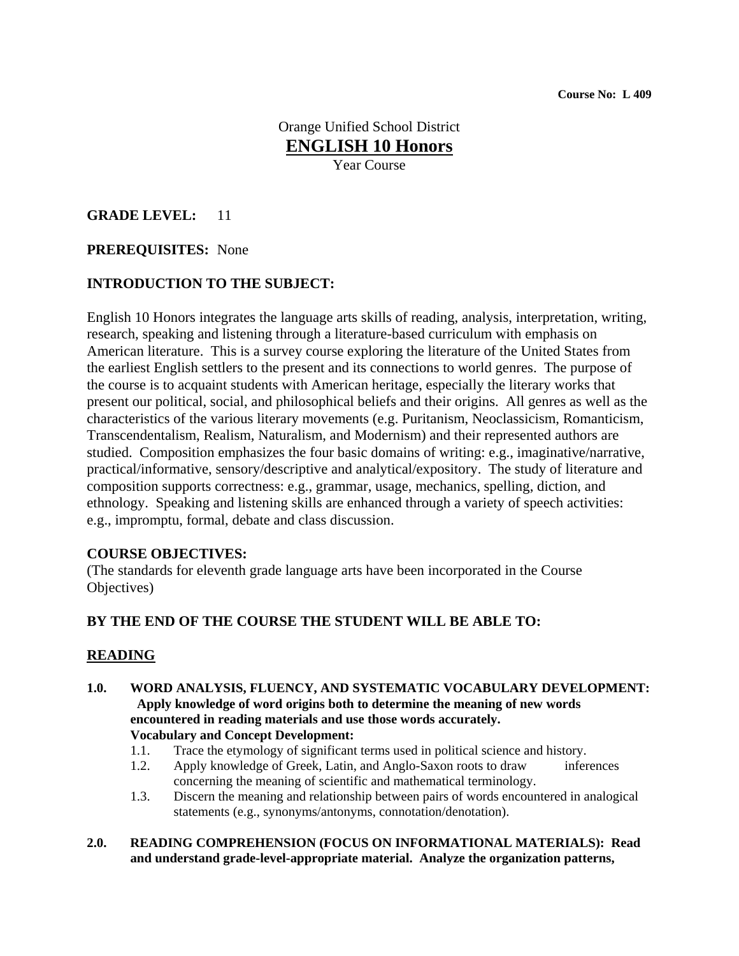Orange Unified School District **ENGLISH 10 Honors** Year Course

## **GRADE LEVEL:** 11

## **PREREQUISITES:** None

#### **INTRODUCTION TO THE SUBJECT:**

English 10 Honors integrates the language arts skills of reading, analysis, interpretation, writing, research, speaking and listening through a literature-based curriculum with emphasis on American literature. This is a survey course exploring the literature of the United States from the earliest English settlers to the present and its connections to world genres. The purpose of the course is to acquaint students with American heritage, especially the literary works that present our political, social, and philosophical beliefs and their origins. All genres as well as the characteristics of the various literary movements (e.g. Puritanism, Neoclassicism, Romanticism, Transcendentalism, Realism, Naturalism, and Modernism) and their represented authors are studied. Composition emphasizes the four basic domains of writing: e.g., imaginative/narrative, practical/informative, sensory/descriptive and analytical/expository. The study of literature and composition supports correctness: e.g., grammar, usage, mechanics, spelling, diction, and ethnology. Speaking and listening skills are enhanced through a variety of speech activities: e.g., impromptu, formal, debate and class discussion.

#### **COURSE OBJECTIVES:**

(The standards for eleventh grade language arts have been incorporated in the Course Objectives)

## **BY THE END OF THE COURSE THE STUDENT WILL BE ABLE TO:**

## **READING**

- **1.0. WORD ANALYSIS, FLUENCY, AND SYSTEMATIC VOCABULARY DEVELOPMENT: Apply knowledge of word origins both to determine the meaning of new words encountered in reading materials and use those words accurately. Vocabulary and Concept Development:** 
	- 1.1. Trace the etymology of significant terms used in political science and history.
	- 1.2. Apply knowledge of Greek, Latin, and Anglo-Saxon roots to draw inferences concerning the meaning of scientific and mathematical terminology.
	- 1.3. Discern the meaning and relationship between pairs of words encountered in analogical statements (e.g., synonyms/antonyms, connotation/denotation).
- **2.0. READING COMPREHENSION (FOCUS ON INFORMATIONAL MATERIALS): Read and understand grade-level-appropriate material. Analyze the organization patterns,**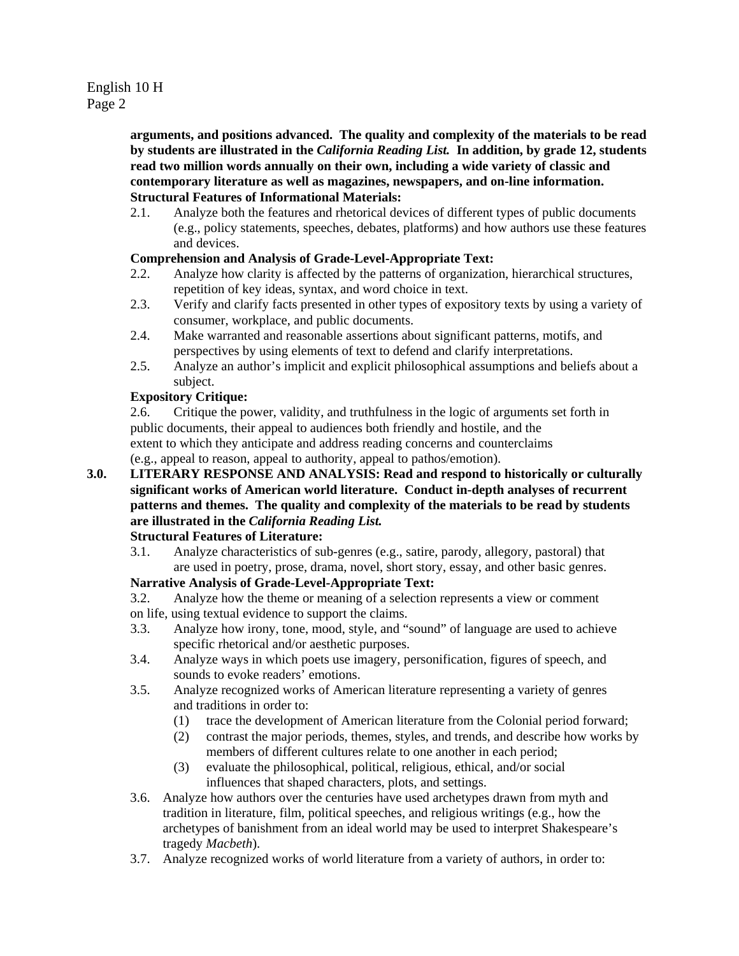**arguments, and positions advanced. The quality and complexity of the materials to be read by students are illustrated in the** *California Reading List.* **In addition, by grade 12, students read two million words annually on their own, including a wide variety of classic and contemporary literature as well as magazines, newspapers, and on-line information. Structural Features of Informational Materials:** 

2.1. Analyze both the features and rhetorical devices of different types of public documents (e.g., policy statements, speeches, debates, platforms) and how authors use these features and devices.

#### **Comprehension and Analysis of Grade-Level-Appropriate Text:**

- 2.2. Analyze how clarity is affected by the patterns of organization, hierarchical structures, repetition of key ideas, syntax, and word choice in text.
- 2.3. Verify and clarify facts presented in other types of expository texts by using a variety of consumer, workplace, and public documents.
- 2.4. Make warranted and reasonable assertions about significant patterns, motifs, and perspectives by using elements of text to defend and clarify interpretations.
- 2.5. Analyze an author's implicit and explicit philosophical assumptions and beliefs about a subject.

#### **Expository Critique:**

2.6. Critique the power, validity, and truthfulness in the logic of arguments set forth in public documents, their appeal to audiences both friendly and hostile, and the extent to which they anticipate and address reading concerns and counterclaims (e.g., appeal to reason, appeal to authority, appeal to pathos/emotion).

**3.0. LITERARY RESPONSE AND ANALYSIS: Read and respond to historically or culturally significant works of American world literature. Conduct in-depth analyses of recurrent patterns and themes. The quality and complexity of the materials to be read by students are illustrated in the** *California Reading List.*

# **Structural Features of Literature:**

3.1. Analyze characteristics of sub-genres (e.g., satire, parody, allegory, pastoral) that are used in poetry, prose, drama, novel, short story, essay, and other basic genres.

#### **Narrative Analysis of Grade-Level-Appropriate Text:**

- 3.2. Analyze how the theme or meaning of a selection represents a view or comment
- on life, using textual evidence to support the claims.
- 3.3. Analyze how irony, tone, mood, style, and "sound" of language are used to achieve specific rhetorical and/or aesthetic purposes.
- 3.4. Analyze ways in which poets use imagery, personification, figures of speech, and sounds to evoke readers' emotions.
- 3.5. Analyze recognized works of American literature representing a variety of genres and traditions in order to:
	- (1) trace the development of American literature from the Colonial period forward;
	- (2) contrast the major periods, themes, styles, and trends, and describe how works by members of different cultures relate to one another in each period;
	- (3) evaluate the philosophical, political, religious, ethical, and/or social influences that shaped characters, plots, and settings.
- 3.6. Analyze how authors over the centuries have used archetypes drawn from myth and tradition in literature, film, political speeches, and religious writings (e.g., how the archetypes of banishment from an ideal world may be used to interpret Shakespeare's tragedy *Macbeth*).
- 3.7. Analyze recognized works of world literature from a variety of authors, in order to: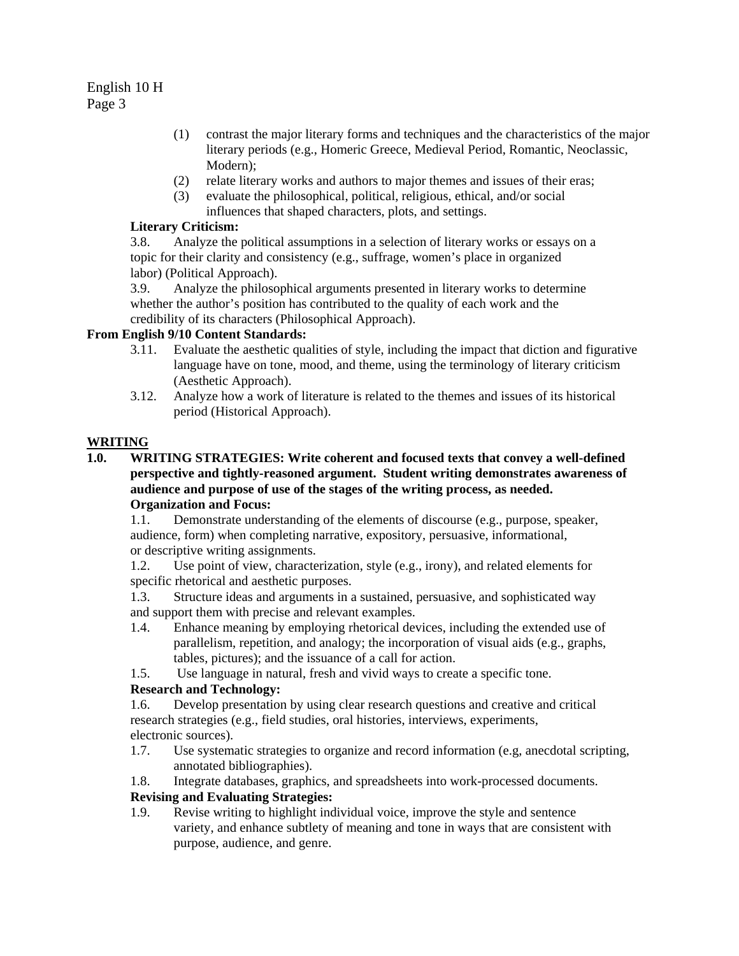- (1) contrast the major literary forms and techniques and the characteristics of the major literary periods (e.g., Homeric Greece, Medieval Period, Romantic, Neoclassic, Modern);
- (2) relate literary works and authors to major themes and issues of their eras;
- (3) evaluate the philosophical, political, religious, ethical, and/or social influences that shaped characters, plots, and settings.

## **Literary Criticism:**

3.8. Analyze the political assumptions in a selection of literary works or essays on a topic for their clarity and consistency (e.g., suffrage, women's place in organized labor) (Political Approach).

3.9. Analyze the philosophical arguments presented in literary works to determine whether the author's position has contributed to the quality of each work and the credibility of its characters (Philosophical Approach).

## **From English 9/10 Content Standards:**

- 3.11. Evaluate the aesthetic qualities of style, including the impact that diction and figurative language have on tone, mood, and theme, using the terminology of literary criticism (Aesthetic Approach).
- 3.12. Analyze how a work of literature is related to the themes and issues of its historical period (Historical Approach).

## **WRITING**

**1.0. WRITING STRATEGIES: Write coherent and focused texts that convey a well-defined perspective and tightly-reasoned argument. Student writing demonstrates awareness of audience and purpose of use of the stages of the writing process, as needed. Organization and Focus:** 

1.1. Demonstrate understanding of the elements of discourse (e.g., purpose, speaker, audience, form) when completing narrative, expository, persuasive, informational, or descriptive writing assignments.

1.2. Use point of view, characterization, style (e.g., irony), and related elements for specific rhetorical and aesthetic purposes.

1.3. Structure ideas and arguments in a sustained, persuasive, and sophisticated way and support them with precise and relevant examples.

- 1.4. Enhance meaning by employing rhetorical devices, including the extended use of parallelism, repetition, and analogy; the incorporation of visual aids (e.g., graphs, tables, pictures); and the issuance of a call for action.
- 1.5. Use language in natural, fresh and vivid ways to create a specific tone.

# **Research and Technology:**

1.6. Develop presentation by using clear research questions and creative and critical research strategies (e.g., field studies, oral histories, interviews, experiments, electronic sources).

- 1.7. Use systematic strategies to organize and record information (e.g, anecdotal scripting, annotated bibliographies).
- 1.8. Integrate databases, graphics, and spreadsheets into work-processed documents.

# **Revising and Evaluating Strategies:**

1.9. Revise writing to highlight individual voice, improve the style and sentence variety, and enhance subtlety of meaning and tone in ways that are consistent with purpose, audience, and genre.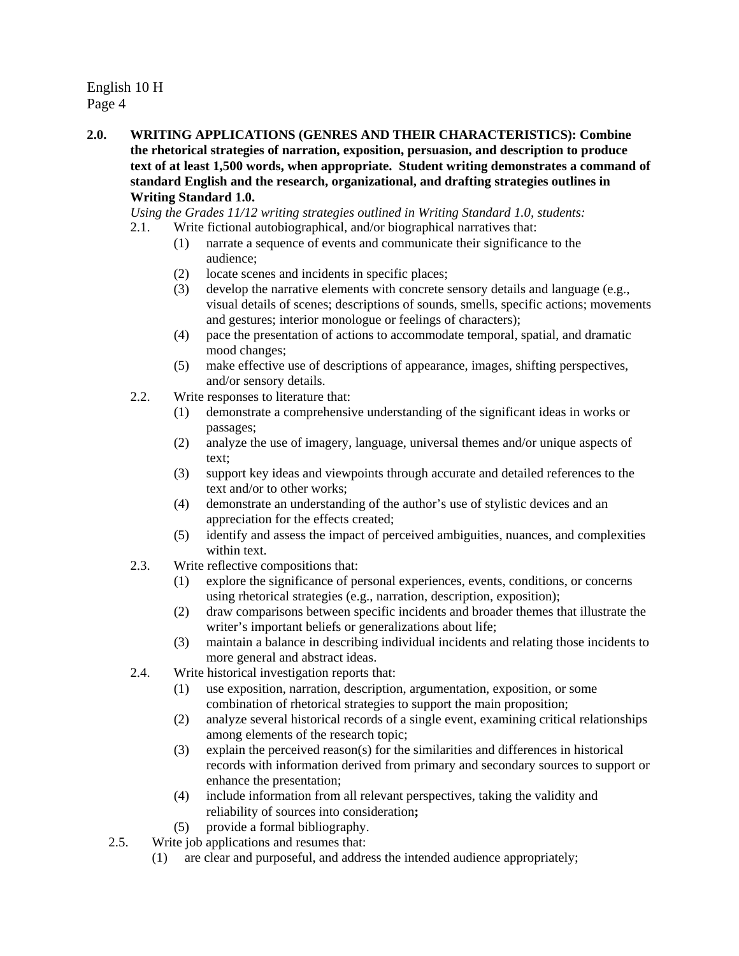**2.0. WRITING APPLICATIONS (GENRES AND THEIR CHARACTERISTICS): Combine the rhetorical strategies of narration, exposition, persuasion, and description to produce text of at least 1,500 words, when appropriate. Student writing demonstrates a command of standard English and the research, organizational, and drafting strategies outlines in Writing Standard 1.0.** 

*Using the Grades 11/12 writing strategies outlined in Writing Standard 1.0, students:* 

- 2.1. Write fictional autobiographical, and/or biographical narratives that:
	- (1) narrate a sequence of events and communicate their significance to the audience;
	- (2) locate scenes and incidents in specific places;
	- (3) develop the narrative elements with concrete sensory details and language (e.g., visual details of scenes; descriptions of sounds, smells, specific actions; movements and gestures; interior monologue or feelings of characters);
	- (4) pace the presentation of actions to accommodate temporal, spatial, and dramatic mood changes;
	- (5) make effective use of descriptions of appearance, images, shifting perspectives, and/or sensory details.
- 2.2. Write responses to literature that:
	- (1) demonstrate a comprehensive understanding of the significant ideas in works or passages;
	- (2) analyze the use of imagery, language, universal themes and/or unique aspects of text;
	- (3) support key ideas and viewpoints through accurate and detailed references to the text and/or to other works;
	- (4) demonstrate an understanding of the author's use of stylistic devices and an appreciation for the effects created;
	- (5) identify and assess the impact of perceived ambiguities, nuances, and complexities within text.
- 2.3. Write reflective compositions that:
	- (1) explore the significance of personal experiences, events, conditions, or concerns using rhetorical strategies (e.g., narration, description, exposition);
	- (2) draw comparisons between specific incidents and broader themes that illustrate the writer's important beliefs or generalizations about life;
	- (3) maintain a balance in describing individual incidents and relating those incidents to more general and abstract ideas.
- 2.4. Write historical investigation reports that:
	- (1) use exposition, narration, description, argumentation, exposition, or some combination of rhetorical strategies to support the main proposition;
	- (2) analyze several historical records of a single event, examining critical relationships among elements of the research topic;
	- (3) explain the perceived reason(s) for the similarities and differences in historical records with information derived from primary and secondary sources to support or enhance the presentation;
	- (4) include information from all relevant perspectives, taking the validity and reliability of sources into consideration**;**
	- (5) provide a formal bibliography.
- 2.5. Write job applications and resumes that:
	- (1) are clear and purposeful, and address the intended audience appropriately;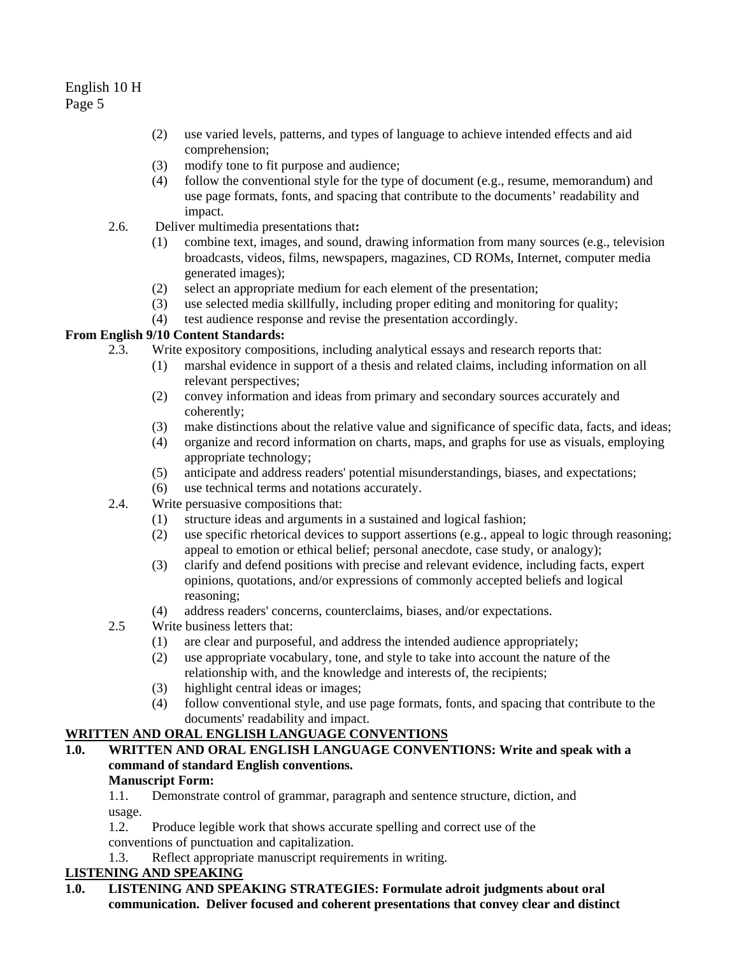- (2) use varied levels, patterns, and types of language to achieve intended effects and aid comprehension;
- (3) modify tone to fit purpose and audience;
- (4) follow the conventional style for the type of document (e.g., resume, memorandum) and use page formats, fonts, and spacing that contribute to the documents' readability and impact.
- 2.6. Deliver multimedia presentations that**:** 
	- (1) combine text, images, and sound, drawing information from many sources (e.g., television broadcasts, videos, films, newspapers, magazines, CD ROMs, Internet, computer media generated images);
	- (2) select an appropriate medium for each element of the presentation;
	- (3) use selected media skillfully, including proper editing and monitoring for quality;
	- (4) test audience response and revise the presentation accordingly.

# **From English 9/10 Content Standards:**

- 2.3. Write expository compositions, including analytical essays and research reports that:
	- (1) marshal evidence in support of a thesis and related claims, including information on all relevant perspectives;
	- (2) convey information and ideas from primary and secondary sources accurately and coherently;
	- (3) make distinctions about the relative value and significance of specific data, facts, and ideas;
	- (4) organize and record information on charts, maps, and graphs for use as visuals, employing appropriate technology;
	- (5) anticipate and address readers' potential misunderstandings, biases, and expectations;
	- (6) use technical terms and notations accurately.
- 2.4. Write persuasive compositions that:
	- (1) structure ideas and arguments in a sustained and logical fashion;
	- (2) use specific rhetorical devices to support assertions (e.g., appeal to logic through reasoning; appeal to emotion or ethical belief; personal anecdote, case study, or analogy);
	- (3) clarify and defend positions with precise and relevant evidence, including facts, expert opinions, quotations, and/or expressions of commonly accepted beliefs and logical reasoning;
	- (4) address readers' concerns, counterclaims, biases, and/or expectations.
- 2.5 Write business letters that:
	- (1) are clear and purposeful, and address the intended audience appropriately;
	- (2) use appropriate vocabulary, tone, and style to take into account the nature of the relationship with, and the knowledge and interests of, the recipients;
	- (3) highlight central ideas or images;
	- (4) follow conventional style, and use page formats, fonts, and spacing that contribute to the documents' readability and impact.

## **WRITTEN AND ORAL ENGLISH LANGUAGE CONVENTIONS**

**1.0. WRITTEN AND ORAL ENGLISH LANGUAGE CONVENTIONS: Write and speak with a command of standard English conventions.** 

#### **Manuscript Form:**

1.1. Demonstrate control of grammar, paragraph and sentence structure, diction, and usage.

1.2. Produce legible work that shows accurate spelling and correct use of the conventions of punctuation and capitalization.

1.3. Reflect appropriate manuscript requirements in writing.

#### **LISTENING AND SPEAKING**

**1.0. LISTENING AND SPEAKING STRATEGIES: Formulate adroit judgments about oral communication. Deliver focused and coherent presentations that convey clear and distinct**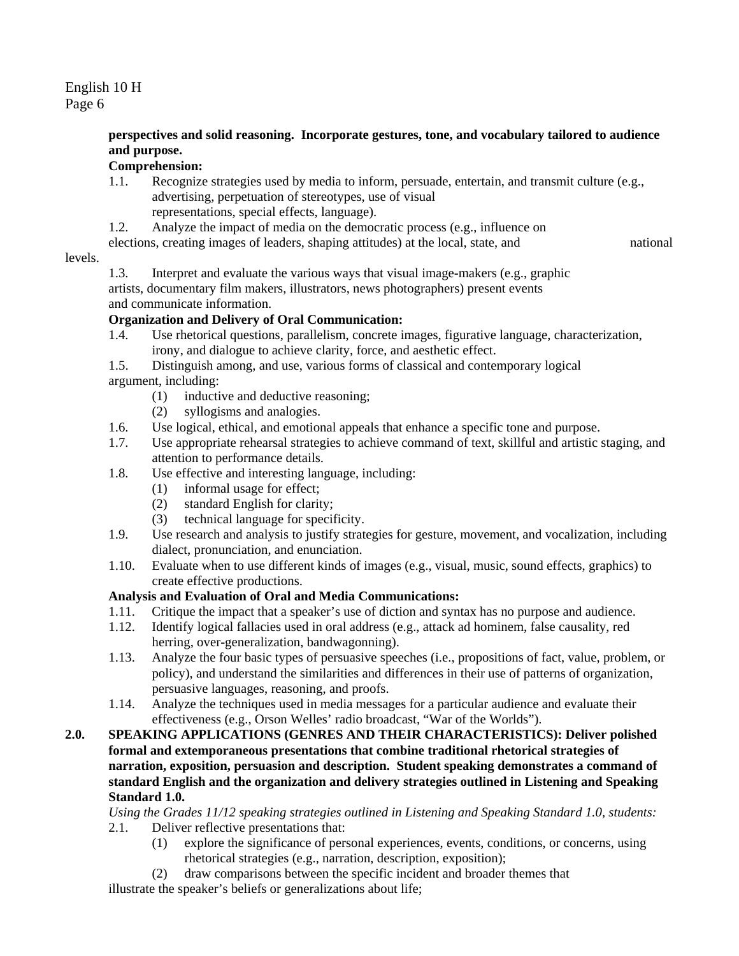#### **perspectives and solid reasoning. Incorporate gestures, tone, and vocabulary tailored to audience and purpose.**

# **Comprehension:**

- 1.1. Recognize strategies used by media to inform, persuade, entertain, and transmit culture (e.g., advertising, perpetuation of stereotypes, use of visual representations, special effects, language).
- 1.2. Analyze the impact of media on the democratic process (e.g., influence on

elections, creating images of leaders, shaping attitudes) at the local, state, and national

#### levels.

1.3. Interpret and evaluate the various ways that visual image-makers (e.g., graphic artists, documentary film makers, illustrators, news photographers) present events and communicate information.

## **Organization and Delivery of Oral Communication:**

- 1.4. Use rhetorical questions, parallelism, concrete images, figurative language, characterization, irony, and dialogue to achieve clarity, force, and aesthetic effect.
- 1.5. Distinguish among, and use, various forms of classical and contemporary logical argument, including:
	- (1) inductive and deductive reasoning;
	- (2) syllogisms and analogies.
- 1.6. Use logical, ethical, and emotional appeals that enhance a specific tone and purpose.
- 1.7. Use appropriate rehearsal strategies to achieve command of text, skillful and artistic staging, and attention to performance details.
- 1.8. Use effective and interesting language, including:
	- (1) informal usage for effect;
	- (2) standard English for clarity;
	- (3) technical language for specificity.
- 1.9. Use research and analysis to justify strategies for gesture, movement, and vocalization, including dialect, pronunciation, and enunciation.
- 1.10. Evaluate when to use different kinds of images (e.g., visual, music, sound effects, graphics) to create effective productions.

## **Analysis and Evaluation of Oral and Media Communications:**

- 1.11. Critique the impact that a speaker's use of diction and syntax has no purpose and audience.
- 1.12. Identify logical fallacies used in oral address (e.g., attack ad hominem, false causality, red herring, over-generalization, bandwagonning).
- 1.13. Analyze the four basic types of persuasive speeches (i.e., propositions of fact, value, problem, or policy), and understand the similarities and differences in their use of patterns of organization, persuasive languages, reasoning, and proofs.
- 1.14. Analyze the techniques used in media messages for a particular audience and evaluate their effectiveness (e.g., Orson Welles' radio broadcast, "War of the Worlds").
- **2.0. SPEAKING APPLICATIONS (GENRES AND THEIR CHARACTERISTICS): Deliver polished formal and extemporaneous presentations that combine traditional rhetorical strategies of narration, exposition, persuasion and description. Student speaking demonstrates a command of standard English and the organization and delivery strategies outlined in Listening and Speaking Standard 1.0.**

*Using the Grades 11/12 speaking strategies outlined in Listening and Speaking Standard 1.0, students:* 

- 2.1. Deliver reflective presentations that:
	- (1) explore the significance of personal experiences, events, conditions, or concerns, using rhetorical strategies (e.g., narration, description, exposition);
- (2) draw comparisons between the specific incident and broader themes that illustrate the speaker's beliefs or generalizations about life;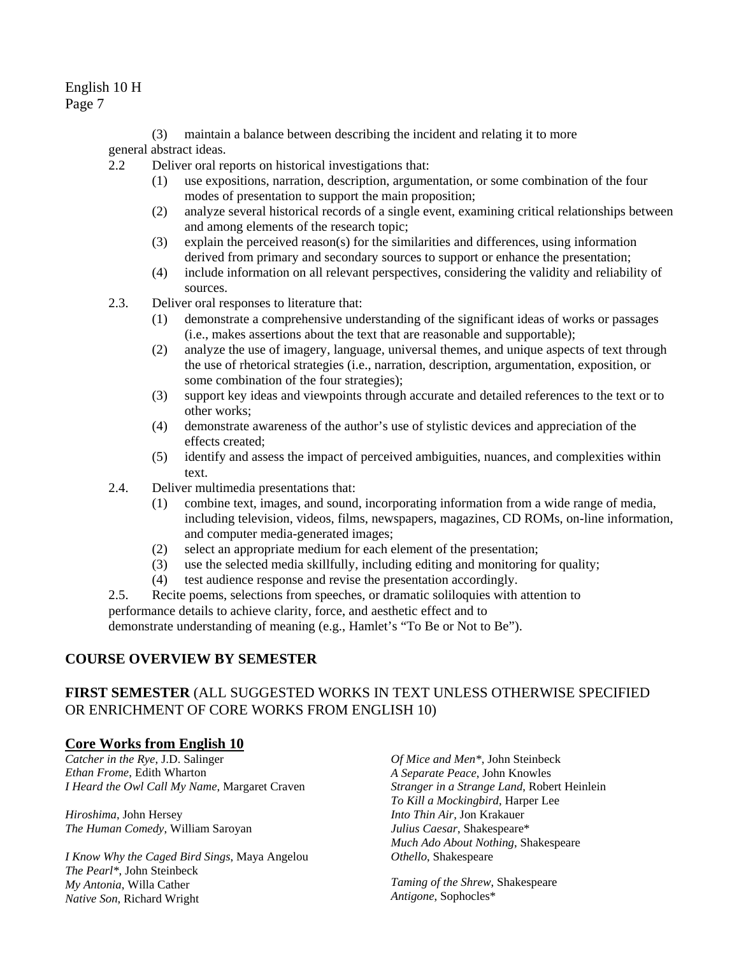(3) maintain a balance between describing the incident and relating it to more general abstract ideas.

- 2.2 Deliver oral reports on historical investigations that:
	- (1) use expositions, narration, description, argumentation, or some combination of the four modes of presentation to support the main proposition;
	- (2) analyze several historical records of a single event, examining critical relationships between and among elements of the research topic;
	- (3) explain the perceived reason(s) for the similarities and differences, using information derived from primary and secondary sources to support or enhance the presentation;
	- (4) include information on all relevant perspectives, considering the validity and reliability of sources.
- 2.3. Deliver oral responses to literature that:
	- (1) demonstrate a comprehensive understanding of the significant ideas of works or passages (i.e., makes assertions about the text that are reasonable and supportable);
	- (2) analyze the use of imagery, language, universal themes, and unique aspects of text through the use of rhetorical strategies (i.e., narration, description, argumentation, exposition, or some combination of the four strategies);
	- (3) support key ideas and viewpoints through accurate and detailed references to the text or to other works;
	- (4) demonstrate awareness of the author's use of stylistic devices and appreciation of the effects created;
	- (5) identify and assess the impact of perceived ambiguities, nuances, and complexities within text.
- 2.4. Deliver multimedia presentations that:
	- (1) combine text, images, and sound, incorporating information from a wide range of media, including television, videos, films, newspapers, magazines, CD ROMs, on-line information, and computer media-generated images;
	- (2) select an appropriate medium for each element of the presentation;
	- (3) use the selected media skillfully, including editing and monitoring for quality;
	- (4) test audience response and revise the presentation accordingly.
- 2.5. Recite poems, selections from speeches, or dramatic soliloquies with attention to

performance details to achieve clarity, force, and aesthetic effect and to

demonstrate understanding of meaning (e.g., Hamlet's "To Be or Not to Be").

## **COURSE OVERVIEW BY SEMESTER**

# **FIRST SEMESTER** (ALL SUGGESTED WORKS IN TEXT UNLESS OTHERWISE SPECIFIED OR ENRICHMENT OF CORE WORKS FROM ENGLISH 10)

## **Core Works from English 10**

*Catcher in the Rye*, J.D. Salinger *Ethan Frome*, Edith Wharton *I Heard the Owl Call My Name*, Margaret Craven *Stranger in a Strange Land*, Robert Heinlein

*Hiroshima*, John Hersey *The Human Comedy*, William Saroyan

*I Know Why the Caged Bird Sings*, Maya Angelou *The Pearl\**, John Steinbeck *My Antonia*, Willa Cather *Native Son*, Richard Wright

*Of Mice and Men\**, John Steinbeck *A Separate Peace*, John Knowles *To Kill a Mockingbird*, Harper Lee *Into Thin Air,* Jon Krakauer *Julius Caesar*, Shakespeare\* *Much Ado About Nothing*, Shakespeare *Othello*, Shakespeare

*Taming of the Shrew*, Shakespeare *Antigone*, Sophocles\*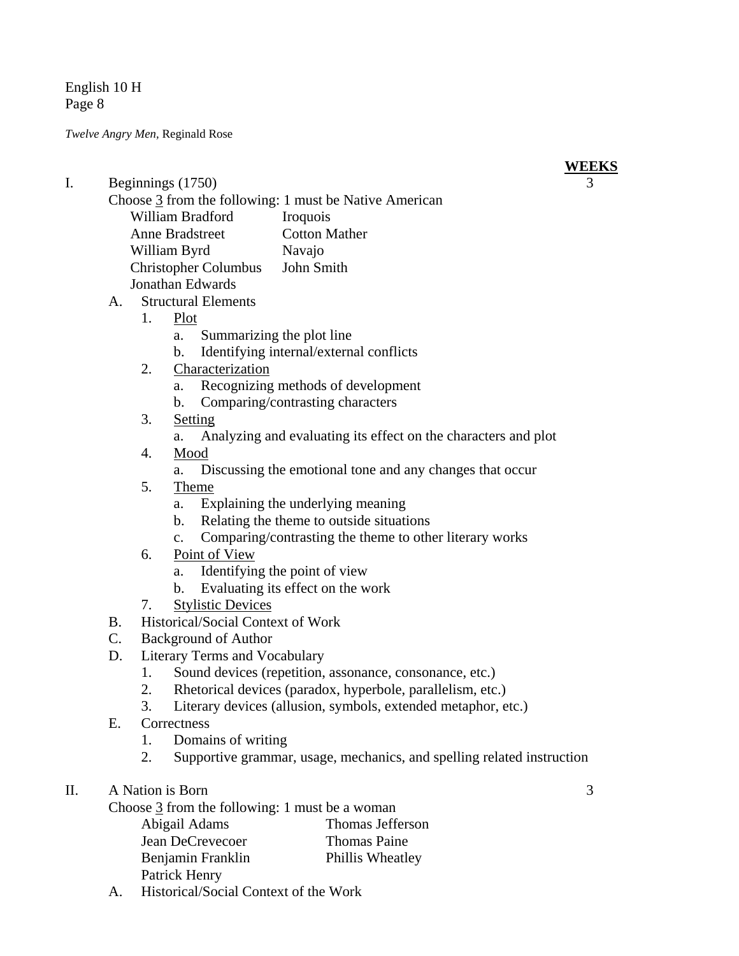*Twelve Angry Men,* Reginald Rose

- I. Beginnings (1750) 3
	- Choose 3 from the following: 1 must be Native American William Bradford Iroquois Anne Bradstreet Cotton Mather William Byrd Navajo Christopher Columbus John Smith Jonathan Edwards
	- A. Structural Elements
		- 1. Plot
			- a. Summarizing the plot line
			- b. Identifying internal/external conflicts
		- 2. Characterization
			- a. Recognizing methods of development
			- b. Comparing/contrasting characters
		- 3. Setting
			- a. Analyzing and evaluating its effect on the characters and plot
		- 4. Mood
			- a. Discussing the emotional tone and any changes that occur
		- 5. Theme
			- a. Explaining the underlying meaning
			- b. Relating the theme to outside situations
			- c. Comparing/contrasting the theme to other literary works
		- 6. Point of View
			- a. Identifying the point of view
			- b. Evaluating its effect on the work
		- 7. Stylistic Devices
	- B. Historical/Social Context of Work
	- C. Background of Author
	- D. Literary Terms and Vocabulary
		- 1. Sound devices (repetition, assonance, consonance, etc.)
		- 2. Rhetorical devices (paradox, hyperbole, parallelism, etc.)
		- 3. Literary devices (allusion, symbols, extended metaphor, etc.)
	- E. Correctness
		- 1. Domains of writing
		- 2. Supportive grammar, usage, mechanics, and spelling related instruction
- II. A Nation is Born 3

```
Choose 3 from the following: 1 must be a woman 
Abigail Adams Thomas Jefferson 
Jean DeCrevecoer Thomas Paine 
Benjamin Franklin Phillis Wheatley
Patrick Henry
```
A. Historical/Social Context of the Work

**WEEKS**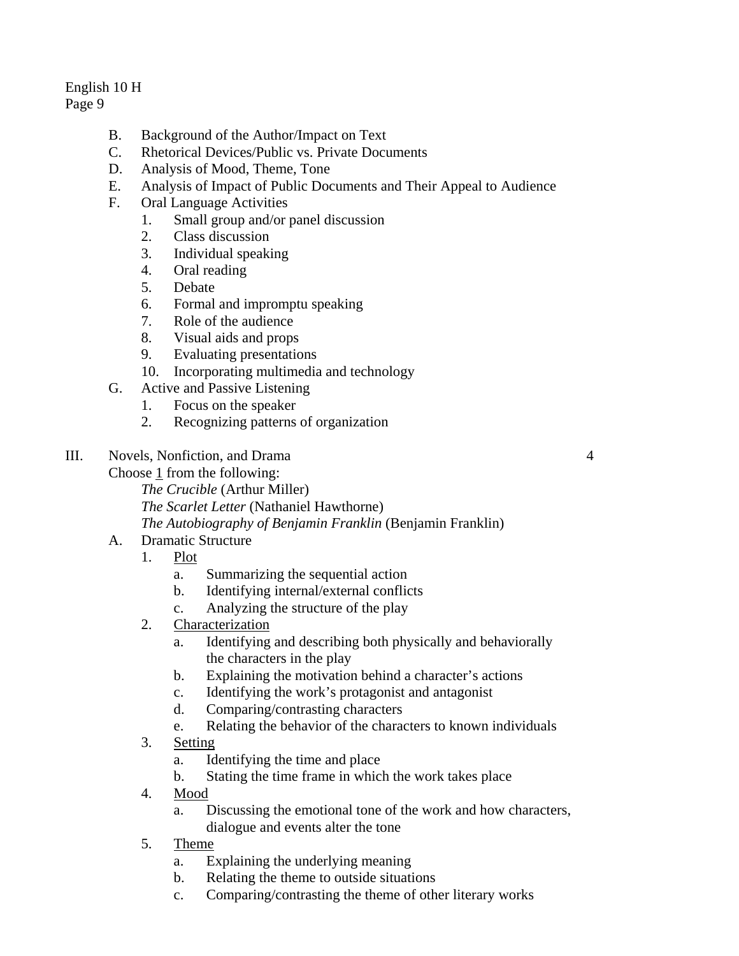- B. Background of the Author/Impact on Text
- C. Rhetorical Devices/Public vs. Private Documents
- D. Analysis of Mood, Theme, Tone
- E. Analysis of Impact of Public Documents and Their Appeal to Audience
- F. Oral Language Activities
	- 1. Small group and/or panel discussion
	- 2. Class discussion
	- 3. Individual speaking
	- 4. Oral reading
	- 5. Debate
	- 6. Formal and impromptu speaking
	- 7. Role of the audience
	- 8. Visual aids and props
	- 9. Evaluating presentations
	- 10. Incorporating multimedia and technology
- G. Active and Passive Listening
	- 1. Focus on the speaker

*The Crucible* (Arthur Miller)

- 2. Recognizing patterns of organization
- III. Novels, Nonfiction, and Drama 4
	- Choose 1 from the following:

*The Scarlet Letter* (Nathaniel Hawthorne)

*The Autobiography of Benjamin Franklin* (Benjamin Franklin)

- A. Dramatic Structure
	- 1. Plot
		- a. Summarizing the sequential action
		- b. Identifying internal/external conflicts
		- c. Analyzing the structure of the play
	- 2. Characterization
		- a. Identifying and describing both physically and behaviorally the characters in the play
		- b. Explaining the motivation behind a character's actions
		- c. Identifying the work's protagonist and antagonist
		- d. Comparing/contrasting characters
		- e. Relating the behavior of the characters to known individuals
	- 3. Setting
		- a. Identifying the time and place
		- b. Stating the time frame in which the work takes place
	- 4. Mood
		- a. Discussing the emotional tone of the work and how characters, dialogue and events alter the tone
	- 5. Theme
		- a. Explaining the underlying meaning
		- b. Relating the theme to outside situations
		- c. Comparing/contrasting the theme of other literary works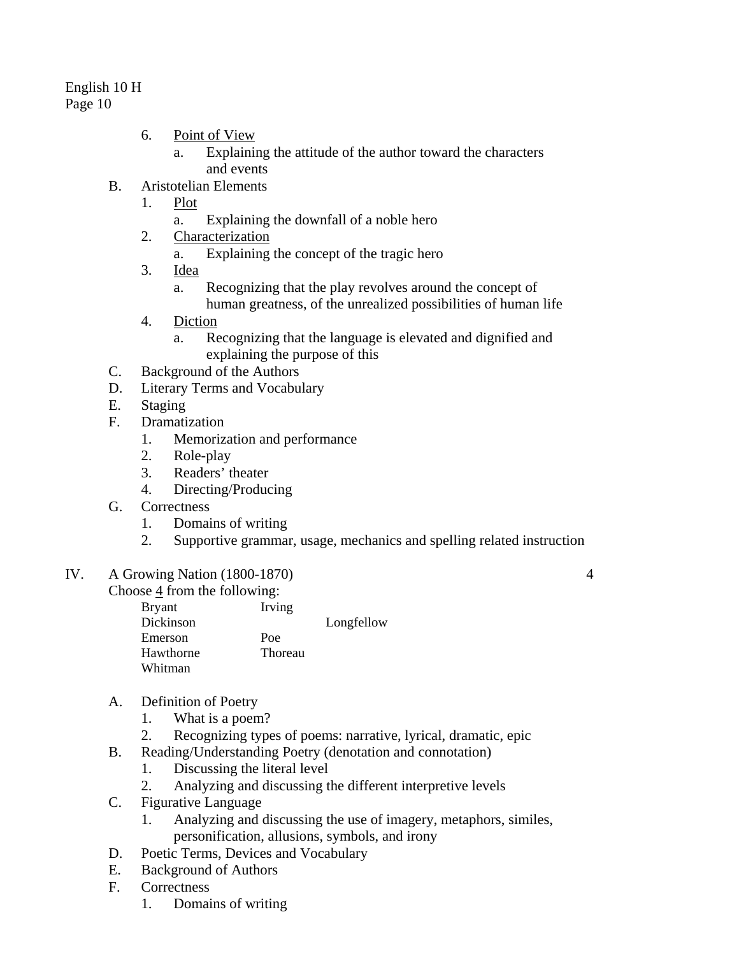- 6. Point of View
	- a. Explaining the attitude of the author toward the characters and events
- B. Aristotelian Elements
	- 1. Plot
		- a. Explaining the downfall of a noble hero
	- 2. Characterization
		- a. Explaining the concept of the tragic hero
	- 3. Idea
		- a. Recognizing that the play revolves around the concept of human greatness, of the unrealized possibilities of human life
	- 4. Diction
		- a. Recognizing that the language is elevated and dignified and explaining the purpose of this
- C. Background of the Authors
- D. Literary Terms and Vocabulary
- E. Staging
- F. Dramatization
	- 1. Memorization and performance
	- 2. Role-play
	- 3. Readers' theater
	- 4. Directing/Producing
- G. Correctness
	- 1. Domains of writing
	- 2. Supportive grammar, usage, mechanics and spelling related instruction

# IV. A Growing Nation (1800-1870) 4

Choose  $\frac{4}{5}$  from the following:

Bryant Irving Dickinson Longfellow Emerson Poe Hawthorne Thoreau Whitman

- A. Definition of Poetry
	- 1. What is a poem?
	- 2. Recognizing types of poems: narrative, lyrical, dramatic, epic
- B. Reading/Understanding Poetry (denotation and connotation)
	- 1. Discussing the literal level
	- 2. Analyzing and discussing the different interpretive levels
- C. Figurative Language
	- 1. Analyzing and discussing the use of imagery, metaphors, similes, personification, allusions, symbols, and irony
- D. Poetic Terms, Devices and Vocabulary
- E. Background of Authors
- F. Correctness
	- 1. Domains of writing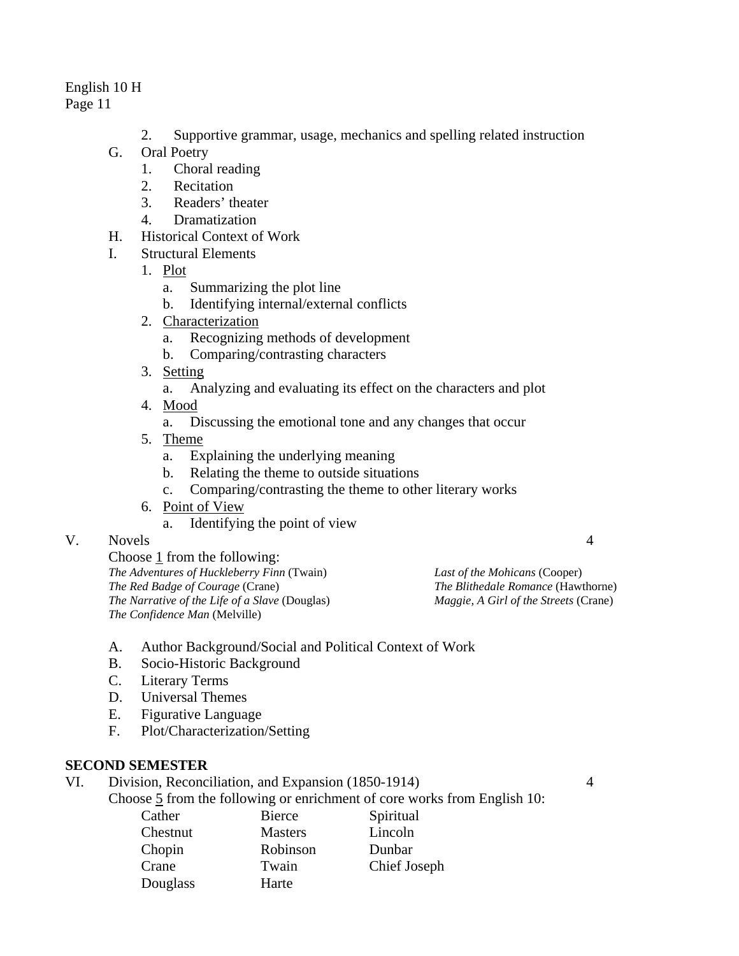# English 10 H

Page 11

- 2. Supportive grammar, usage, mechanics and spelling related instruction
- G. Oral Poetry
	- 1. Choral reading
	- 2. Recitation
	- 3. Readers' theater
	- 4. Dramatization
- H. Historical Context of Work
- I. Structural Elements
	- 1. Plot
		- a. Summarizing the plot line
		- b. Identifying internal/external conflicts
	- 2. Characterization
		- a. Recognizing methods of development
		- b. Comparing/contrasting characters
	- 3. Setting
		- a. Analyzing and evaluating its effect on the characters and plot
	- 4. Mood
		- a. Discussing the emotional tone and any changes that occur
	- 5. Theme
		- a. Explaining the underlying meaning
		- b. Relating the theme to outside situations
		- c. Comparing/contrasting the theme to other literary works
	- 6. Point of View
		- a. Identifying the point of view
- V. Novels 4

Choose 1 from the following: *The Adventures of Huckleberry Finn* (Twain) *The Red Badge of Courage* (Crane) *The Narrative of the Life of a Slave* (Douglas) *The Confidence Man* (Melville)

*Last of the Mohicans* (Cooper) *The Blithedale Romance* (Hawthorne) *Maggie, A Girl of the Streets* (Crane)

- A. Author Background/Social and Political Context of Work
- B. Socio-Historic Background
- C. Literary Terms
- D. Universal Themes
- E. Figurative Language
- F. Plot/Characterization/Setting

# **SECOND SEMESTER**

# VI. Division, Reconciliation, and Expansion (1850-1914) 4

Choose 5 from the following or enrichment of core works from English 10:

| Cather   | Bierce         | Spiritual    |
|----------|----------------|--------------|
| Chestnut | <b>Masters</b> | Lincoln      |
| Chopin   | Robinson       | Dunbar       |
| Crane    | Twain          | Chief Joseph |
| Douglass | Harte          |              |
|          |                |              |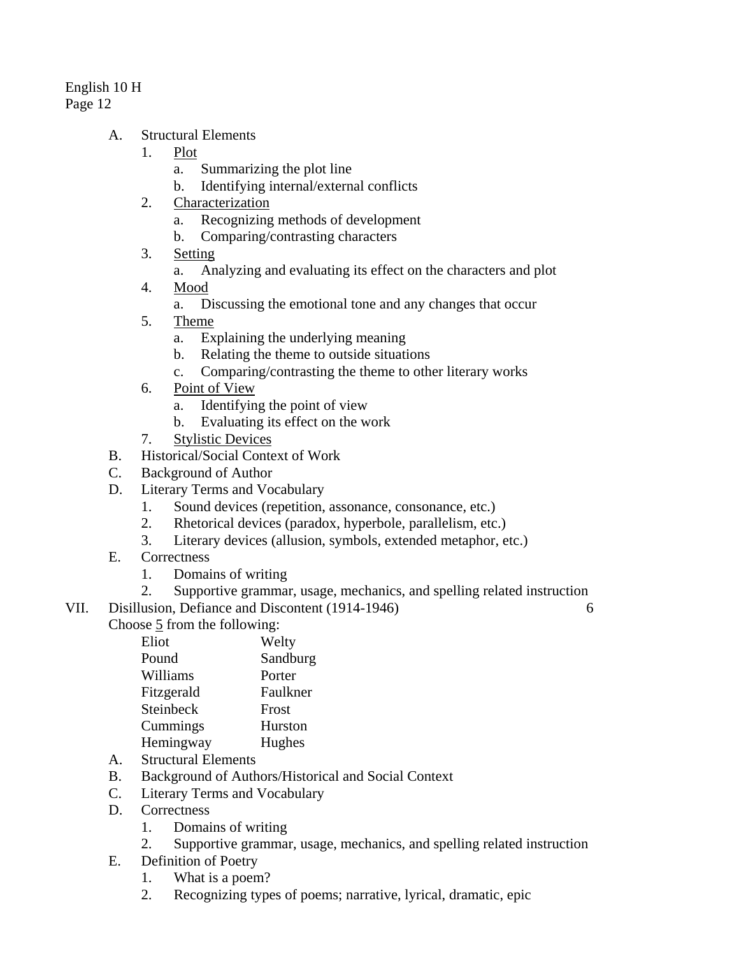- A. Structural Elements
	- 1. Plot
		- a. Summarizing the plot line
		- b. Identifying internal/external conflicts
	- 2. Characterization
		- a. Recognizing methods of development
		- b. Comparing/contrasting characters
	- 3. Setting
		- a. Analyzing and evaluating its effect on the characters and plot
	- 4. Mood
		- a. Discussing the emotional tone and any changes that occur
	- 5. Theme
		- a. Explaining the underlying meaning
		- b. Relating the theme to outside situations
		- c. Comparing/contrasting the theme to other literary works
	- 6. Point of View
		- a. Identifying the point of view
		- b. Evaluating its effect on the work
	- 7. Stylistic Devices
- B. Historical/Social Context of Work
- C. Background of Author
- D. Literary Terms and Vocabulary
	- 1. Sound devices (repetition, assonance, consonance, etc.)
	- 2. Rhetorical devices (paradox, hyperbole, parallelism, etc.)
	- 3. Literary devices (allusion, symbols, extended metaphor, etc.)
- E. Correctness
	- 1. Domains of writing
	- 2. Supportive grammar, usage, mechanics, and spelling related instruction
- VII. Disillusion, Defiance and Discontent (1914-1946) 6

Choose 5 from the following:

| Eliot      | Welty    |
|------------|----------|
| Pound      | Sandburg |
| Williams   | Porter   |
| Fitzgerald | Faulkner |
| Steinbeck  | Frost    |
| Cummings   | Hurston  |
| Hemingway  | Hughes   |
|            |          |

- A. Structural Elements
- B. Background of Authors/Historical and Social Context
- C. Literary Terms and Vocabulary
- D. Correctness
	- 1. Domains of writing
	- 2. Supportive grammar, usage, mechanics, and spelling related instruction
- E. Definition of Poetry
	- 1. What is a poem?
	- 2. Recognizing types of poems; narrative, lyrical, dramatic, epic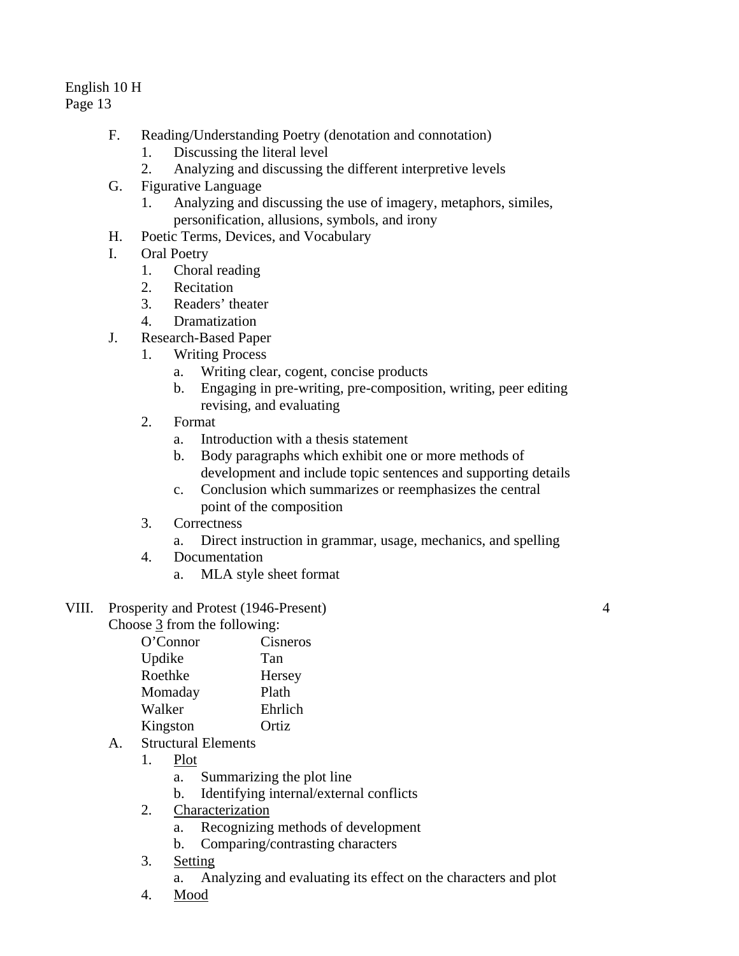# English 10 H

Page 13

- F. Reading/Understanding Poetry (denotation and connotation)
	- 1. Discussing the literal level
	- 2. Analyzing and discussing the different interpretive levels
- G. Figurative Language
	- 1. Analyzing and discussing the use of imagery, metaphors, similes, personification, allusions, symbols, and irony
- H. Poetic Terms, Devices, and Vocabulary
- I. Oral Poetry
	- 1. Choral reading
	- 2. Recitation
	- 3. Readers' theater
	- 4. Dramatization
- J. Research-Based Paper
	- 1. Writing Process
		- a. Writing clear, cogent, concise products
		- b. Engaging in pre-writing, pre-composition, writing, peer editing revising, and evaluating
	- 2. Format
		- a. Introduction with a thesis statement
		- b. Body paragraphs which exhibit one or more methods of development and include topic sentences and supporting details
		- c. Conclusion which summarizes or reemphasizes the central point of the composition
	- 3. Correctness
		- a. Direct instruction in grammar, usage, mechanics, and spelling
	- 4. Documentation
		- a. MLA style sheet format
- VIII. Prosperity and Protest (1946-Present) 4 Choose 3 from the following:

| O'Connor | Cisneros |
|----------|----------|
| Updike   | Tan      |
| Roethke  | Hersey   |
| Momaday  | Plath    |
| Walker   | Ehrlich  |
| Kingston | Ortiz    |
|          |          |

- A. Structural Elements
	- 1. Plot
		- a. Summarizing the plot line
		- b. Identifying internal/external conflicts
	- 2. Characterization
		- a. Recognizing methods of development
		- b. Comparing/contrasting characters
	- 3. Setting
		- a. Analyzing and evaluating its effect on the characters and plot
	- 4. Mood